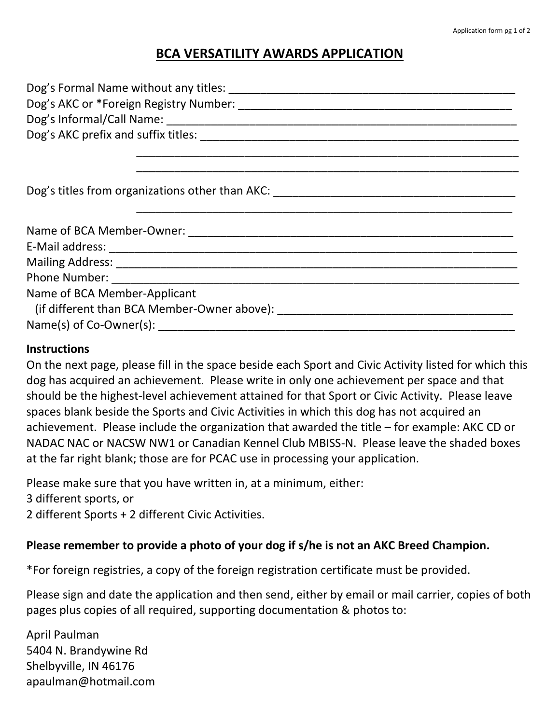## **BCA VERSATILITY AWARDS APPLICATION**

| Name of BCA Member-Applicant |
|------------------------------|
|                              |
|                              |

## **Instructions**

On the next page, please fill in the space beside each Sport and Civic Activity listed for which this dog has acquired an achievement. Please write in only one achievement per space and that should be the highest-level achievement attained for that Sport or Civic Activity. Please leave spaces blank beside the Sports and Civic Activities in which this dog has not acquired an achievement. Please include the organization that awarded the title – for example: AKC CD or NADAC NAC or NACSW NW1 or Canadian Kennel Club MBISS-N. Please leave the shaded boxes at the far right blank; those are for PCAC use in processing your application.

Please make sure that you have written in, at a minimum, either:

3 different sports, or

2 different Sports + 2 different Civic Activities.

## **Please remember to provide a photo of your dog if s/he is not an AKC Breed Champion.**

\*For foreign registries, a copy of the foreign registration certificate must be provided.

Please sign and date the application and then send, either by email or mail carrier, copies of both pages plus copies of all required, supporting documentation & photos to:

April Paulman 5404 N. Brandywine Rd Shelbyville, IN 46176 apaulman@hotmail.com